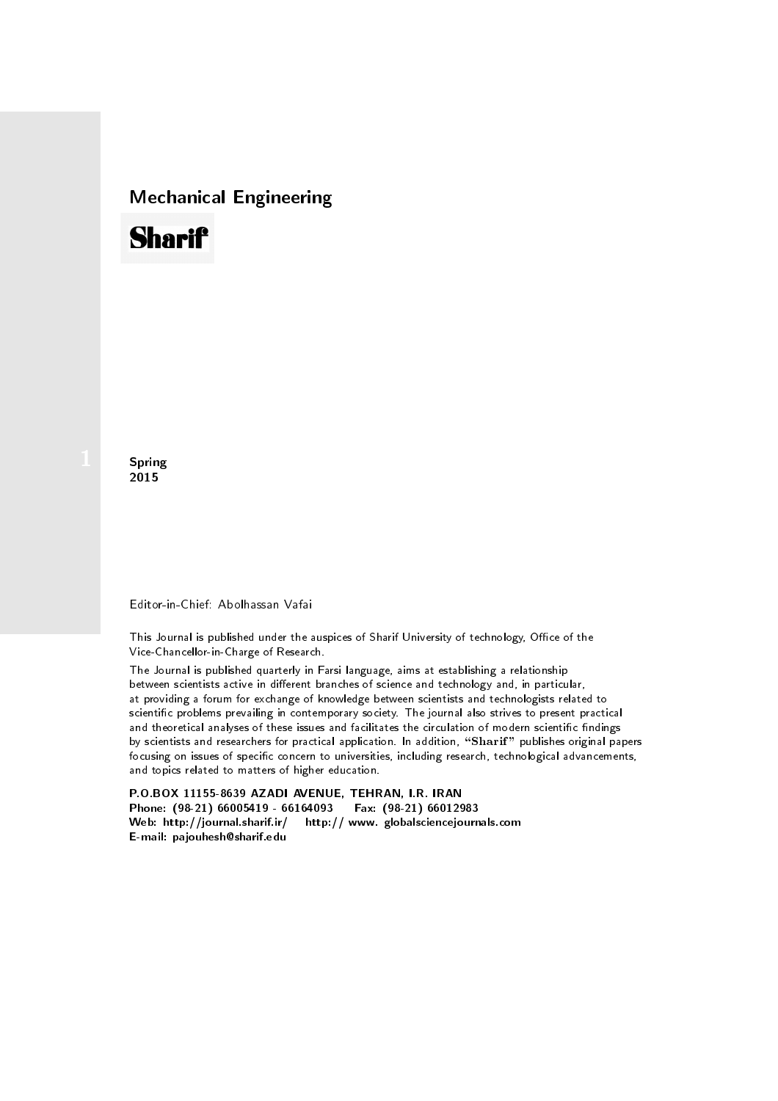## Mechanical Engineering

# **Sharif**

**Spring** 2015

### Editor-in-Chief: Abolhassan Vafai

This Journal is published under the auspices of Sharif University of technology, Office of the Vice-Chancellor-in-Charge of Research.

The Journal is published quarterly in Farsi language, aims at establishing a relationship between scientists active in different branches of science and technology and, in particular, at providing a forum for exchange of knowledge between scientists and technologists related to scientic problems prevailing in contemporary society. The journal also strives to present practical and theoretical analyses of these issues and facilitates the circulation of modern scientific findings by scientists and researchers for practical application. In addition, "Sharif" publishes original papers focusing on issues of specific concern to universities, including research, technological advancements, and topics related to matters of higher education.

P.O.BOX 11155-8639 AZADI AVENUE, TEHRAN, I.R. IRAN Phone: (98-21) 66005419 - 66164093 Fax: (98-21) 66012983 Web: http://journal.sharif.ir/ http:// www. globalsciencejournals.com E-mail: pajouhesh@sharif.edu